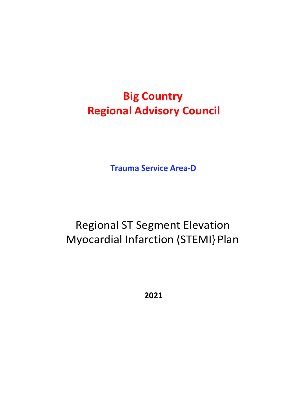# **Big Country Regional Advisory Council**

**Trauma Service Area-D**

# Regional ST Segment Elevation Myocardial Infarction (STEMI} Plan

**2021**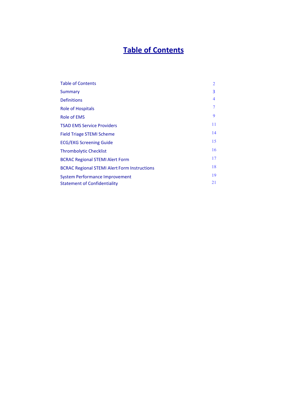# **Table of Contents**

| <b>Table of Contents</b>                            | 2  |
|-----------------------------------------------------|----|
| Summary                                             | 3  |
| <b>Definitions</b>                                  | 4  |
| <b>Role of Hospitals</b>                            |    |
| Role of EMS                                         | 9  |
| <b>TSAD EMS Service Providers</b>                   | 11 |
| <b>Field Triage STEMI Scheme</b>                    | 14 |
| <b>ECG/EKG Screening Guide</b>                      | 15 |
| <b>Thrombolytic Checklist</b>                       | 16 |
| <b>BCRAC Regional STEMI Alert Form</b>              | 17 |
| <b>BCRAC Regional STEMI Alert Form Instructions</b> | 18 |
| <b>System Performance Improvement</b>               | 19 |
| <b>Statement of Confidentiality</b>                 | 21 |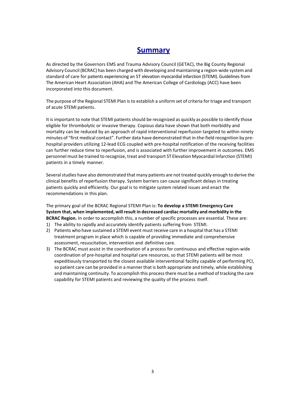# **Summary**

As directed by the Governors EMS and Trauma Advisory Council (GETAC), the Big County Regional Advisory Council (BCRAC) has been charged with developing and maintaining a region-wide system and standard of care for patients experiencing an ST elevation myocardial infarction (STEMI). Guidelines from The American Heart Association (AHA) and The American College of Cardiology (ACC) have been incorporated into this document.

The purpose of the Regional STEMI Plan is to establish a uniform set of criteria for triage and transport of acute STEMI patients.

It is important to note that STEMI patients should be recognized as quickly as possible to identify those eligible for thrombolytic or invasive therapy. Copious data have shown that both morbidity and mortality can be reduced by an approach of rapid interventional reperfusion targeted to within ninety minutes of "first medical contact". Further data have demonstrated that in-the-field recognition by prehospital providers utilizing 12-lead ECG coupled with pre-hospital notification of the receiving facilities can further reduce time to reperfusion, and is associated with further improvement in outcomes. EMS personnel must be trained to recognize, treat and transport ST Elevation Myocardial Infarction (STEMI) patients in a timely manner.

Several studies have also demonstrated that many patients are not treated quickly enough to derive the clinical benefits of reperfusion therapy. System barriers can cause significant delays in treating patients quickly and efficiently. Our goal is to mitigate system related issues and enact the recommendations in this plan.

The primary goal of the BCRAC Regional STEMI Plan is: **To develop a STEMI Emergency Care System that, when implemented, will result in decreased cardiac mortality and morbidity in the BCRAC Region.** In order to accomplish this, a number of specific processes are essential. These are:

- 1) The ability to rapidly and accurately identify patients suffering from STEMI.
- 2) Patients who have sustained a STEMI event must receive care in a hospital that has a STEMI treatment program in place which is capable of providing immediate and comprehensive assessment, resuscitation, intervention and definitive care.
- 3) The BCRAC must assist in the coordination of a process for continuous and effective region-wide coordination of pre-hospital and hospital care resources, so that STEMI patients will be most expeditiously transported to the closest available interventional facility capable of performing PCI, so patient care can be provided in a manner that is both appropriate and timely, while establishing and maintaining continuity. To accomplish this process there must be a method of tracking the care capability for STEMI patients and reviewing the quality of the process itself.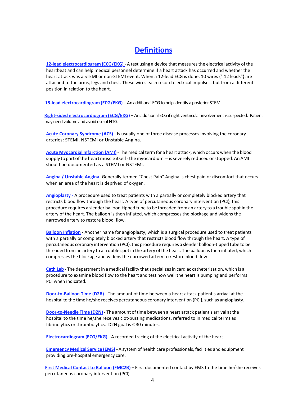# **Definitions**

**12-lead electrocardiogram (ECG/EKG)** - A test using a device that measures the electrical activity of the heartbeat and can help medical personnel determine if a heart attack has occurred and whether the heart attack was a STEMI or non-STEMI event. When a 12-lead ECG is done, 10 wires (" 12 leads"} are attached to the arms, legs and chest. These wires each record electrical impulses, but from a different position in relation to the heart.

**15-lead electrocardiogram (ECG/EKG)** – An additional ECG to help identify a posterior STEMI.

**Right-sided electrocardiogram (ECG/EKG)** – An additional ECG if right ventricular involvement is suspected. Patient may need volume and avoid use of NTG.

**Acute Coronary Syndrome (ACS)** - Is usually one of three disease processes involving the coronary arteries: STEMI, NSTEMI or Unstable Angina.

**Acute Myocardial Infarction (AMI)** - The medical term for a heart attack, which occurs when the blood supply to part of the heart muscle itself - the myocardium - is severely reduced or stopped. An AMI should be documented as a STEMI or NSTEMI.

**Angina / Unstable Angina**- Generally termed "Chest Pain" Angina is chest pain or discomfort that occurs when an area of the heart is deprived of oxygen.

**Angioplasty -** A procedure used to treat patients with a partially or completely blocked artery that restricts blood flow through the heart. A type of percutaneous coronary intervention (PCI}, this procedure requires a slender balloon-tipped tube to be threaded from an artery to a trouble spot in the artery of the heart. The balloon is then inflated, which compresses the blockage and widens the narrowed artery to restore blood flow.

**Balloon Inflation** - Another name for angioplasty, which is a surgical procedure used to treat patients with a partially or completely blocked artery that restricts blood flow through the heart. A type of percutaneous coronary intervention (PCI}, this procedure requires a slender balloon-tipped tube to be threaded from an artery to a trouble spot in the artery of the heart. The balloon is then inflated, which compresses the blockage and widens the narrowed artery to restore blood flow.

**Cath Lab** - The department in a medical facility that specializes in cardiac catheterization, which is a procedure to examine blood flow to the heart and test how well the heart is pumping and performs PCI when indicated.

**Door-to-Balloon Time (D2B)** - The amount of time between a heart attack patient's arrival at the hospital to the time he/she receives percutaneous coronary intervention (PCI}, such as angioplasty.

**Door-to-Needle Time (D2N)** - The amount of time between a heart attack patient's arrival at the hospital to the time he/she receives clot-busting medications, referred to in medical terms as fibrinolytics or thrombolytics. D2N goal is ≤ 30 minutes.

**Electrocardiogram (ECG/EKG)** - A recorded tracing of the electrical activity of the heart.

**Emergency Medical Service (EMS)** - A system of health care professionals, facilities and equipment providing pre-hospital emergency care.

**First Medical Contact to Balloon (FMC2B)** – First documented contact by EMS to the time he/she receives percutaneous coronary intervention (PCI).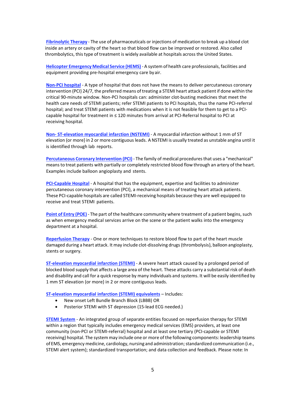**Fibrinolytic Therapy** - The use of pharmaceuticals or injections of medication to break up a blood clot inside an artery or cavity of the heart so that blood flow can be improved or restored. Also called thrombolytics, this type of treatment is widely available at hospitals across the United States.

**Helicopter Emergency Medical Service (HEMS)** - A system of health care professionals, facilities and equipment providing pre-hospital emergency care by air.

**Non-PCI hospital** - A type of hospital that does not have the means to deliver percutaneous coronary intervention (PCI} 24/7, the preferred means of treating a STEMI heart attack patient if done within the critical 90-minute window. Non-PCI hospitals can: administer clot-busting medicines that meet the health care needs of STEMI patients; refer STEMI patients to PCI hospitals, thus the name PCI-referral hospital; and treat STEMI patients with medications when it is not feasible for them to get to a PCIcapable hospital for treatment in ≤ 120 minutes from arrival at PCI-Referral hospital to PCI at receiving hospital.

**Non- ST-elevation myocardial infarction (NSTEMI)** - A myocardial infarction without 1 mm of ST elevation (or more} in 2 or more contiguous leads. A NSTEMI is usually treated as unstable angina until it is identified through lab reports.

**Percutaneous Coronary Intervention (PCI)** - The family of medical procedures that uses a "mechanical" means to treat patients with partially or completely restricted blood flow through an artery of the heart. Examples include balloon angioplasty and stents.

**PCI-Capable Hospital** - A hospital that has the equipment, expertise and facilities to administer percutaneous coronary intervention (PCI}, a mechanical means of treating heart attack patients. These PCI-capable hospitals are called STEMI-receiving hospitals because they are well equipped to receive and treat STEMI patients.

**Point of Entry (POE)** - The part of the healthcare community where treatment of a patient begins, such as when emergency medical services arrive on the scene or the patient walks into the emergency department at a hospital.

**Reperfusion Therapy** - One or more techniques to restore blood flow to part of the heart muscle damaged during a heart attack. It may include clot-dissolving drugs (thrombolysis}, balloon angioplasty, stents or surgery.

**ST-elevation myocardial infarction (STEMI)** - A severe heart attack caused by a prolonged period of blocked blood supply that affects a large area of the heart. These attacks carry a substantial risk of death and disability and call for a quick response by many individuals and systems. It will be easily identified by 1 mm ST elevation (or more} in 2 or more contiguous leads.

**ST-elevation myocardial infarction (STEMI) equivalents** – Includes:

- New onset Left Bundle Branch Block (LBBB) OR
- Posterior STEMI with ST depression (15-lead ECG needed.)

**STEMI System** - An integrated group of separate entities focused on reperfusion therapy for STEMI within a region that typically includes emergency medical services (EMS} providers, at least one community (non-PCI or STEMI-referral} hospital and at least one tertiary (PCI-capable or STEMI receiving} hospital. The system may include one or more of the following components: leadership teams of EMS, emergency medicine, cardiology, nursing and administration; standardized communication (i.e., STEMI alert system}; standardized transportation; and data collection and feedback. Please note: In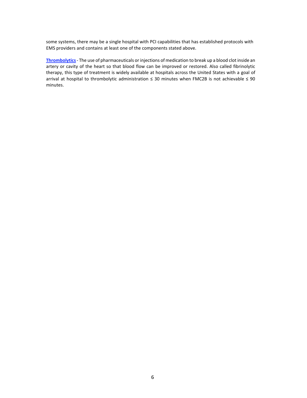some systems, there may be a single hospital with PCI capabilities that has established protocols with EMS providers and contains at least one of the components stated above.

**Thrombolytics** - The use of pharmaceuticals or injections of medication to break up a blood clot inside an artery or cavity of the heart so that blood flow can be improved or restored. Also called fibrinolytic therapy, this type of treatment is widely available at hospitals across the United States with a goal of arrival at hospital to thrombolytic administration ≤ 30 minutes when FMC2B is not achievable ≤ 90 minutes.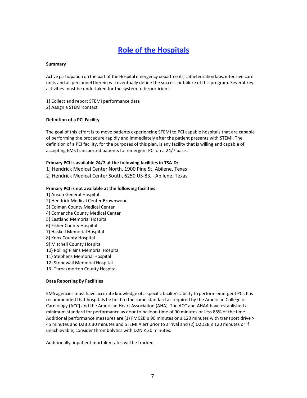# **Role of the Hospitals**

#### **Summary**

Active participation on the part of the Hospital emergency departments, catheterization labs, intensive care units and all personnel therein will eventually define the success or failure of this program. Several key activities must be undertaken for the system to be proficient:

- 1} Collect and report STEMI performance data
- 2} Assign a STEMI contact

#### **Definition of a PCI Facility**

The goal of this effort is to move patients experiencing STEMI to PCI capable hospitals that are capable of performing the procedure rapidly and immediately after the patient presents with STEMI. The definition of a PCI facility, for the purposes of this plan, is any facility that is willing and capable of accepting EMS transported patients for emergent PCI on a 24/7 basis.

#### **Primary PCI is available 24/7 at the following facilities in TSA-D:**

1} Hendrick Medical Center North, 1900 Pine St, Abilene, Texas 2} Hendrick Medical Center South, 6250 US-83, Abilene, Texas

#### **Primary PCI is not available at the following facilities:**

- 1} Anson General Hospital
- 2} Hendrick Medical Center Brownwood
- 3} Colman County Medical Center
- 4} Comanche County Medical Center
- 5} Eastland Memorial Hospital
- 6} Fisher County Hospital
- 7) Haskell Memorial Hospital
- 8} Knox County Hospital
- 9} Mitchell County Hospital
- 10} Rolling Plains Memorial Hospital
- 11} Stephens Memorial Hospital
- 12} Stonewall Memorial Hospital
- 13} Throckmorton County Hospital

#### **Data Reporting By Facilities**

EMS agencies must have accurate knowledge of a specific facility's ability to perform emergent PCI. It is recommended that hospitals be held to the same standard as required by the American College of Cardiology (ACC} and the American Heart Association (AHA). The ACC and AHAA have established a minimum standard for performance as door to balloon time of 90 minutes or less 85% of the time. Additional performance measures are (1) FMC2B ≤ 90 minutes or ≤ 120 minutes with transport drive > 45 minutes and D2B ≤ 30 minutes and STEMI Alert prior to arrival and (2) D2D2B ≤ 120 minutes or if unachievable, consider thrombolytics with D2N ≤ 30 minutes.

Additionally, inpatient mortality rates will be tracked.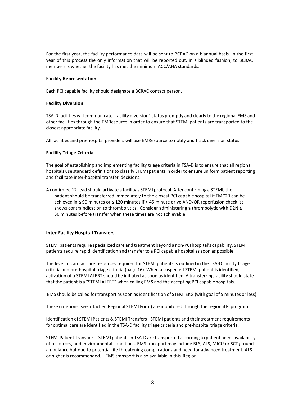For the first year, the facility performance data will be sent to BCRAC on a biannual basis. In the first year of this process the only information that will be reported out, in a blinded fashion, to BCRAC members is whether the facility has met the minimum ACC/AHA standards.

#### **Facility Representation**

Each PCI capable facility should designate a BCRAC contact person.

#### **Facility Diversion**

TSA-D facilities will communicate "facility diversion" status promptly and clearly to the regional EMS and other facilities through the EMResource in order to ensure that STEMI patients are transported to the closest appropriate facility.

All facilities and pre-hospital providers will use EMResource to notify and track diversion status.

#### **Facility Triage Criteria**

The goal of establishing and implementing facility triage criteria in TSA-D is to ensure that all regional hospitals use standard definitions to classify STEMI patients in order to ensure uniform patient reporting and facilitate inter-hospital transfer decisions.

A confirmed 12-lead should activate a facility's STEMI protocol. After confirming a STEMI, the patient should be transferred immediately to the closest PCI capable hospital if FMC2B can be achieved in ≤ 90 minutes or ≤ 120 minutes if > 45 minute drive AND/OR reperfusion checklist shows contraindication to thrombolytics. Consider administering a thrombolytic with D2N  $\leq$ 30 minutes before transfer when these times are not achievable.

#### **Inter-Facility Hospital Transfers**

STEMI patients require specialized care and treatment beyond a non-PCI hospital's capability. STEMI patients require rapid identification and transfer to a PCI capable hospital as soon as possible.

The level of cardiac care resources required for STEMI patients is outlined in the TSA-D facility triage criteria and pre-hospital triage criteria (page 16). When a suspected STEMI patient is identified, activation of a STEMI ALERT should be initiated as soon as identified. A transferring facility should state that the patient is a "STEMI ALERT" when calling EMS and the accepting PCI capable hospitals.

EMS should be called for transport as soon as identification of STEMI EKG (with goal of 5 minutes or less)

These criterions (see attached Regional STEMI Form) are monitored through the regional PI program.

Identification of STEMI Patients & STEMI Transfers - STEMI patients and their treatment requirements for optimal care are identified in the TSA-D facility triage criteria and pre-hospital triage criteria.

STEMI Patient Transport - STEMI patients in TSA-D are transported according to patient need, availability of resources, and environmental conditions. EMS transport may include BLS, ALS, MICU or SCT ground ambulance but due to potential life threatening complications and need for advanced treatment, ALS or higher is recommended. HEMS transport is also available in this Region.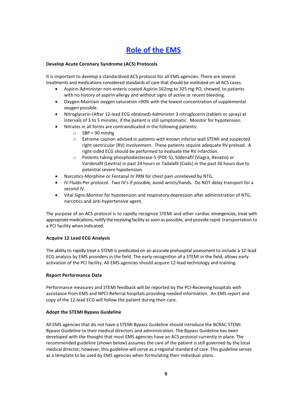# **Role of the EMS**

#### **Develop Acute Coronary Syndrome (ACS) Protocols**

It is important to develop a standardized ACS protocol for all EMS agencies. There are several treatments and medications considered standards of care that should be instituted on all ACS cases.

- Aspirin-Administer non-enteric coated Aspirin 162mg to 325 mg PO, chewed, to patients with no history of aspirin allergy and without signs of active or recent bleeding.
- Oxygen-Maintain oxygen saturation >90% with the lowest concentration of supplemental oxygen possible.
- Nitroglycerin-(After 12-lead ECG obtained)-Administer 3 nitroglycerin (tablets or spray) at intervals of 3 to 5 minutes, if the patient is still symptomatic. Monitor for hypotension.
- Nitrates in all forms are contraindicated in the following patients:
	- o SBP < 90 mmHg
	- $\circ$  Extreme caution advised in patients with known inferior wall STEMI and suspected right ventricular (RV) involvement. These patients require adequate RV preload. A right-sided ECG should be performed to evaluate the RV infarction.
	- o Patients taking phosphodiesterase-5 (PDE-5), Sildenafil (Viagra, Revatio) or Vardenafil (Levitra) in past 24 hours or Tadalafil (Cialis) in the past 36 hours due to potential severe hypotension.
- Narcotics-Morphine or Fentanyl IV PRN for chest pain unrelieved by NTG.
- IV Fluids-Per protocol. Two IV's if possible, avoid wrists/hands. Do NOT delay transport for a second IV.
- Vital Signs-Monitor for hypotension and respiratory depression after administration of NTG, narcotics and anti-hypertensive agent.

The purpose of an ACS protocol is to rapidly recognize STEMI and other cardiac emergencies, treat with appropriate medications, notify the receiving facility as soon as possible, and provide rapid transportation to a PCI facility when indicated.

#### **Acquire 12 Lead ECG Analysis**

The ability to rapidly treat a STEMI is predicated on an accurate prehospital assessment to include a 12-lead ECG analysis by EMS providers in the field. The early recognition of a STEMI in the field, allows early activation of the PCI facility. All EMS agencies should acquire 12-lead technology and training.

#### **Report Performance Data**

Performance measures and STEMI feedback will be reported by the PCI-Receiving hospitals with assistance from EMS and NPCI-Referral hospitals providing needed information. An EMS report and copy of the 12-lead ECG will follow the patient during their care.

#### **Adopt the STEMI Bypass Guideline**

All EMS agencies that do not have a STEMI Bypass Guideline should introduce the BCRAC STEMI Bypass Guideline to their medical directors and administration. The Bypass Guideline has been developed with the thought that most EMS agencies have an ACS protocol currently in place. The recommended guideline (shown below} assumes the care of the patient is still governed by the local medical director; however, this guideline will serve as a regional standard of care. This guideline serves as a template to be used by EMS agencies when formulating their individual plans.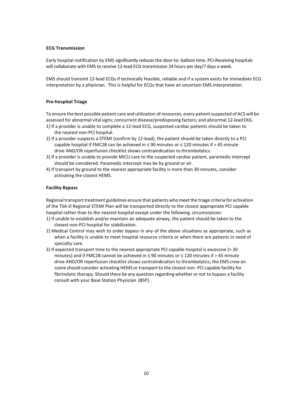#### **ECG Transmission**

Early hospital notification by EMS significantly reduces the door-to- balloon time. PCI-Receiving hospitals will collaborate with EMS to receive 12-lead ECG transmission 24 hours per day/7 days a week.

EMS should transmit 12-lead ECGs if technically feasible, reliable and if a system exists for immediate ECG interpretation by a physician. This is helpful for ECGs that have an uncertain EMS interpretation.

#### **Pre-hospital Triage**

To ensure the best possible patient care and utilization of resources, every patient suspected of ACS will be assessed for abnormal vital signs; concurrent disease/predisposing factors; and abnormal 12-lead EKG.

- 1} If a provider is unable to complete a 12-lead ECG, suspected cardiac patients should be taken to the nearest non-PCI hospital.
- 2} If a provider suspects a STEMI (confirm by 12-lead}, the patient should be taken directly to a PCI capable hospital if FMC2B can be achieved in  $\leq 90$  minutes or  $\leq 120$  minutes if > 45 minute drive AND/OR reperfusion checklist shows contraindication to thrombolytics.
- 3} If a provider is unable to provide MICU care to the suspected cardiac patient, paramedic intercept should be considered. Paramedic intercept may be by ground or air.
- 4} If transport by ground to the nearest appropriate facility is more than 30 minutes, consider activating the closest HEMS.

#### **Facility Bypass**

Regional transport treatment guidelines ensure that patients who meet the triage criteria for activation of the TSA-D Regional STEMI Plan will be transported directly to the closest appropriate PCI capable hospital rather than to the nearest hospital except under the following circumstances:

- 1} If unable to establish and/or maintain an adequate airway, the patient should be taken to the closest non-PCI hospital for stabilization.
- 2} Medical Control may wish to order bypass in any of the above situations as appropriate, such as when a facility is unable to meet hospital resource criteria or when there are patients in need of specialty care.
- 3} If expected transport time to the nearest appropriate PCI capable hospital is excessive (> 30 minutes} and if FMC2B cannot be achieved in  $\leq$  90 minutes or  $\leq$  120 minutes if > 45 minute drive AND/OR reperfusion checklist shows contraindication to thrombolytics, the EMS crew on scene should consider activating HEMS or transport to the closest non- PCI capable facility for fibrinolytic therapy. Should there be any question regarding whether or not to bypass a facility consult with your Base Station Physician (BSP}.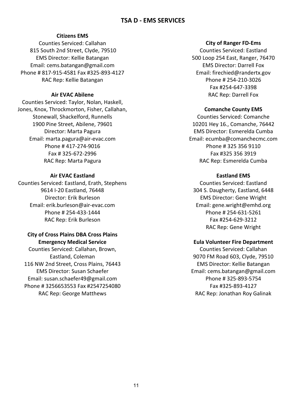#### **TSA D - EMS SERVICES**

#### **Citizens EMS**

Counties Serviced: Callahan 815 South 2nd Street, Clyde, 79510 EMS Director: Kellie Batangan Email: cems.batangan@gmail.com Phone # 817-915-4581 Fax #325-893-4127 RAC Rep: Kellie Batangan

#### **Air EVAC Abilene**

Counties Serviced: Taylor, Nolan, Haskell, Jones, Knox, Throckmorton, Fisher, Callahan, Stonewall, Shackelford, Runnells 1900 Pine Street, Abilene, 79601 Director: Marta Pagura Email: marta.pagura@air-evac.com Phone # 417-274-9016 Fax # 325-672-2996 RAC Rep: Marta Pagura

#### **Air EVAC Eastland**

Counties Serviced: Eastland, Erath, Stephens 9614 I-20 Eastland, 76448 Director: Erik Burleson Email: erik.burleson@air-evac.com Phone # 254-433-1444 RAC Rep: Erik Burleson

#### **City of Cross Plains DBA Cross Plains Emergency Medical Service**

Counties Serviced: Callahan, Brown, Eastland, Coleman 116 NW 2nd Street, Cross Plains, 76443 EMS Director: Susan Schaefer Email: susan.schaefer49@gmail.com Phone # 3256653553 Fax #2547254080 RAC Rep: George Matthews

#### **City of Ranger FD-Ems**

Counties Serviced: Eastland 500 Loop 254 East, Ranger, 76470 EMS Director: Darrell Fox Email: firechied@randertx.gov Phone # 254-210-3026 Fax #254-647-3398 RAC Rep: Darrell Fox

#### **Comanche County EMS**

Counties Serviced: Comanche 10201 Hey 16., Comanche, 76442 EMS Director: Esmerelda Cumba Email: ecumba@comanchecmc.com Phone # 325 356 9110 Fax #325 356 3919 RAC Rep: Esmerelda Cumba

#### **Eastland EMS**

Counties Serviced: Eastland 304 S. Daugherty, Eastland, 6448 EMS Director: Gene Wright Email: gene.wright@emhd.org Phone # 254-631-5261 Fax #254-629-3212 RAC Rep: Gene Wright

#### **Eula Volunteer Fire Department**

Counties Serviced: Callahan 9070 FM Road 603, Clyde, 79510 EMS Director: Kellie Batangan Email: cems.batangan@gmail.com Phone # 325-893-5754 Fax #325-893-4127 RAC Rep: Jonathan Roy Galinak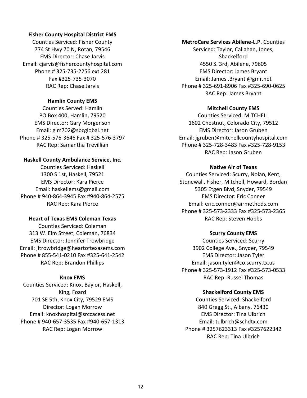#### **Fisher County Hospital District EMS**

Counties Serviced: Fisher County 774 St Hwy 70 N, Rotan, 79546 EMS Director: Chase Jarvis Email: cjarvis@fishercountyhospital.com Phone # 325-735-2256 ext 281 Fax #325-735-3070 RAC Rep: Chase Jarvis

#### **Hamlin County EMS**

Counties Served: Hamlin PO Box 400, Hamlin, 79520 EMS Director: Gary Morgenson Email: glm702@sbcglobal.net Phone # 325-576-3646 Fax # 325-576-3797 RAC Rep: Samantha Trevillian

#### **Haskell County Ambulance Service, Inc.**

Counties Serviced: Haskell 1300 S 1st, Haskell, 79521 EMS Director: Kara Pierce Email: haskellems@gmail.com Phone # 940-864-3945 Fax #940-864-2575 RAC Rep: Kara Pierce

#### **Heart of Texas EMS Coleman Texas**

Counties Serviced: Coleman 313 W. Elm Street, Coleman, 76834 EMS Director: Jennifer Trowbridge Email: jltrowbridge@heartoftexasems.com Phone # 855-541-0210 Fax #325-641-2542 RAC Rep: Brandon Phillips

#### **Knox EMS**

Counties Serviced: Knox, Baylor, Haskell, King, Foard 701 SE 5th, Knox City, 79529 EMS Director: Logan Morrow Email: knoxhospital@srccacess.net Phone # 940-657-3535 Fax #940-657-1313 RAC Rep: Logan Morrow

#### **MetroCare Services Abilene-L.P.** Counties

Serviced: Taylor, Callahan, Jones, Shackelford 4550 S. 3rd, Abilene, 79605 EMS Director: James Bryant Email: James .Bryant @gmr.net Phone # 325-691-8906 Fax #325-690-0625 RAC Rep: James Bryant

#### **Mitchell County EMS**

Counties Serviced: MITCHELL 1602 Chestnut, Colorado City, 79512 EMS Director: Jason Gruben Email: jgruben@mitchellcountyhospital.com Phone # 325-728-3483 Fax #325-728-9153 RAC Rep: Jason Gruben

#### **Native Air of Texas**

Counties Serviced: Scurry, Nolan, Kent, Stonewall, Fisher, Mitchell, Howard, Bordan 5305 Etgen Blvd, Snyder, 79549 EMS Director: Eric Conner Email: eric.conner@airmethods.com Phone # 325-573-2333 Fax #325-573-2365 RAC Rep: Steven Hobbs

#### **Scurry County EMS**

Counties Serviced: Scurry 3902 College Ave., Snyder, 79549 EMS Director: Jason Tyler Email: jason.tyler@co.scurry.tx.us Phone # 325-573-1912 Fax #325-573-0533 RAC Rep: Russel Thomas

#### **Shackelford County EMS**

Counties Serviced: Shackelford 840 Gregg St., Albany, 76430 EMS Director: Tina Ulbrich Email: tulbrich@schdtx.com Phone # 3257623313 Fax #3257622342 RAC Rep: Tina Ulbrich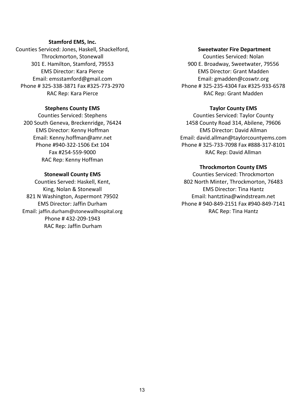#### **Stamford EMS, Inc.**

Counties Serviced: Jones, Haskell, Shackelford, Throckmorton, Stonewall 301 E. Hamilton, Stamford, 79553 EMS Director: Kara Pierce Email: emsstamford@gmail.com Phone # 325-338-3871 Fax #325-773-2970 RAC Rep: Kara Pierce

#### **Stephens County EMS**

Counties Serviced: Stephens 200 South Geneva, Breckenridge, 76424 EMS Director: Kenny Hoffman Email: Kenny.hoffman@amr.net Phone #940-322-1506 Ext 104 Fax #254-559-9000 RAC Rep: Kenny Hoffman

#### **Stonewall County EMS**

Counties Served: Haskell, Kent, King, Nolan & Stonewall 821 N Washington, Aspermont 79502 EMS Director: Jaffin Durham Email: jaffin.durham@stonewallhospital.org Phone # 432-209-1943 RAC Rep: Jaffin Durham

#### **Sweetwater Fire Department**

Counties Serviced: Nolan 900 E. Broadway, Sweetwater, 79556 EMS Director: Grant Madden Email: gmadden@coswtr.org Phone # 325-235-4304 Fax #325-933-6578 RAC Rep: Grant Madden

#### **Taylor County EMS**

Counties Serviced: Taylor County 1458 County Road 314, Abilene, 79606 EMS Director: David Allman Email: david.allman@taylorcountyems.com Phone # 325-733-7098 Fax #888-317-8101 RAC Rep: David Allman

#### **Throckmorton County EMS**

Counties Serviced: Throckmorton 802 North Minter, Throckmorton, 76483 EMS Director: Tina Hantz Email: hantztina@windstream.net Phone # 940-849-2151 Fax #940-849-7141 RAC Rep: Tina Hantz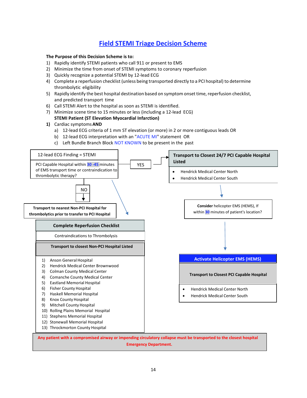### **Field STEMI Triage Decision Scheme**

#### **The Purpose of this Decision Scheme is to:**

- 1) Rapidly identify STEMI patients who call 911 or present to EMS
- 2) Minimize the time from onset of STEMI symptoms to coronary reperfusion
- 3) Quickly recognize a potential STEMI by 12-lead ECG
- 4) Complete a reperfusion checklist (unless being transported directly to a PCI hospital) to determine thrombolytic eligibility
- 5) Rapidly identify the best hospital destination based on symptom onset time, reperfusion checklist, and predicted transport time
- 6) Call STEMI Alert to the hospital as soon as STEMI is identified.
- 7) Minimize scene time to 15 minutes or less (including a 12-lead ECG) **STEMI Patient (ST Elevation Myocardial Infarction)**
- **1)** Cardiac symptoms **AND** 
	- a) 12-lead ECG criteria of 1 mm ST elevation (or more) in 2 or more contiguous leads OR
	- b) 12-lead ECG interpretation with an "ACUTE MI" statement OR
	- c) Left Bundle Branch Block NOT KNOWN to be present in the past



**Emergency Department.**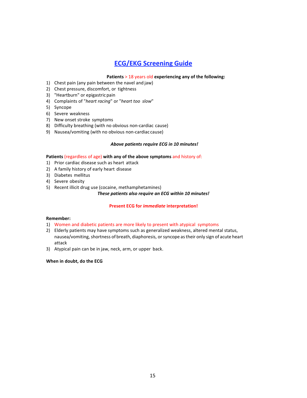### **ECG/EKG Screening Guide**

#### **Patients** > 18 years old **experiencing any of the following:**

- 1) Chest pain (any pain between the navel and jaw)
- 2) Chest pressure, discomfort, or tightness
- 3) "Heartburn" or epigastric pain
- 4) Complaints of "*heart racing*" or "*heart too slow*"
- 5) Syncope
- 6) Severe weakness
- 7) New onset stroke symptoms
- 8) Difficulty breathing (with no obvious non-cardiac cause)
- 9) Nausea/vomiting (with no obvious non-cardiac cause)

#### *Above patients require ECG in 10 minutes!*

#### **Patients** (regardless of age) **with any of the above symptoms** and history of:

- 1) Prior cardiac disease such as heart attack
- 2) A family history of early heart disease
- 3) Diabetes mellitus
- 4) Severe obesity
- 5) Recent illicit drug use (cocaine, methamphetamines)

#### *These patients also require an ECG within 10 minutes!*

#### **Present ECG for** *immediate* **interpretation!**

#### **Remember:**

- 1) Women and diabetic patients are more likely to present with atypical symptoms
- 2) Elderly patients may have symptoms such as generalized weakness, altered mental status, nausea/vomiting, shortness of breath, diaphoresis, or syncope as their only sign of acute heart attack
- 3) Atypical pain can be in jaw, neck, arm, or upper back.

#### **When in doubt, do the ECG**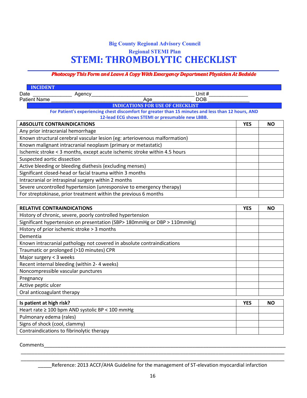## **Big County Regional Advisory Council Regional STEMI Plan STEMI: THROMBOLYTIC CHECKLIST**

#### **Photocopy This Form and Leave A Copy With Emergency Department Physician At Bedside**

| <b>INCIDENT</b>                                                                                                                                |            |           |
|------------------------------------------------------------------------------------------------------------------------------------------------|------------|-----------|
| Unit #<br>Date<br>Agency_                                                                                                                      |            |           |
| <b>Patient Name</b><br>Age<br><b>DOB</b>                                                                                                       |            |           |
| <b>INDICATIONS FOR USE OF CHECKLIST</b><br>For Patient's experiencing chest discomfort for greater than 15 minutes and less than 12 hours, AND |            |           |
| 12-lead ECG shows STEMI or presumable new LBBB.                                                                                                |            |           |
| <b>ABSOLUTE CONTRAINDICATIONS</b>                                                                                                              | <b>YES</b> | <b>NO</b> |
| Any prior intracranial hemorrhage                                                                                                              |            |           |
| Known structural cerebral vascular lesion (eg: arteriovenous malformation)                                                                     |            |           |
| Known malignant intracranial neoplasm (primary or metastatic)                                                                                  |            |           |
| Ischemic stroke < 3 months, except acute ischemic stroke within 4.5 hours                                                                      |            |           |
| Suspected aortic dissection                                                                                                                    |            |           |
| Active bleeding or bleeding diathesis (excluding menses)                                                                                       |            |           |
| Significant closed-head or facial trauma within 3 months                                                                                       |            |           |
| Intracranial or intraspinal surgery within 2 months                                                                                            |            |           |
| Severe uncontrolled hypertension (unresponsive to emergency therapy)                                                                           |            |           |
| For streptokinase, prior treatment within the previous 6 months                                                                                |            |           |
|                                                                                                                                                |            |           |
| <b>RELATIVE CONTRAINDICATIONS</b>                                                                                                              | <b>YES</b> | <b>NO</b> |
| History of chronic, severe, poorly controlled hypertension                                                                                     |            |           |
| Significant hypertension on presentation (SBP> 180mmHg or DBP > 110mmHg)                                                                       |            |           |
| History of prior ischemic stroke > 3 months                                                                                                    |            |           |
| Dementia                                                                                                                                       |            |           |
| Known intracranial pathology not covered in absolute contraindications                                                                         |            |           |
| Traumatic or prolonged (>10 minutes) CPR                                                                                                       |            |           |
| Major surgery < 3 weeks                                                                                                                        |            |           |
| Recent internal bleeding (within 2-4 weeks)                                                                                                    |            |           |
| Noncompressible vascular punctures                                                                                                             |            |           |
| Pregnancy                                                                                                                                      |            |           |
| Active peptic ulcer                                                                                                                            |            |           |
| Oral anticoagulant therapy                                                                                                                     |            |           |
| Is patient at high risk?                                                                                                                       | <b>YES</b> | <b>NO</b> |
| Heart rate ≥ 100 bpm AND systolic BP < 100 mmHg                                                                                                |            |           |
| Pulmonary edema (rales)                                                                                                                        |            |           |
| Signs of shock (cool, clammy)                                                                                                                  |            |           |

Contraindications to fibrinolytic therapy

Comments

Reference: 2013 ACCF/AHA Guideline for the management of ST-elevation myocardial infarction

\_\_\_\_\_\_\_\_\_\_\_\_\_\_\_\_\_\_\_\_\_\_\_\_\_\_\_\_\_\_\_\_\_\_\_\_\_\_\_\_\_\_\_\_\_\_\_\_\_\_\_\_\_\_\_\_\_\_\_\_\_\_\_\_\_\_\_\_\_\_\_\_\_\_\_\_\_\_\_\_\_\_\_\_\_\_\_\_\_\_\_\_\_\_\_\_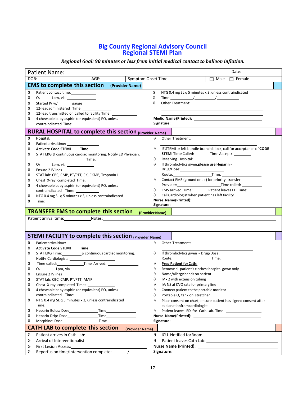#### **Big County Regional Advisory Council Regional STEMI Plan**

#### *Regional Goal: 90 minutes or less from initial medical contact to balloon inflation.*

|                      | <b>Patient Name:</b>                                                               |               |                                                                                                                                                                                                                               | Date:         |  |
|----------------------|------------------------------------------------------------------------------------|---------------|-------------------------------------------------------------------------------------------------------------------------------------------------------------------------------------------------------------------------------|---------------|--|
| DOB:                 | AGE:<br><b>Symptom Onset Time:</b>                                                 |               | $\Box$ Male                                                                                                                                                                                                                   | $\Box$ Female |  |
|                      | <b>EMS to complete this section</b> (Provider Name)                                |               |                                                                                                                                                                                                                               |               |  |
| θ<br>θ               | Patient contact time:                                                              | 9<br>$\theta$ | NTG 0.4 mg SL q 5 minutes x 3, unless contraindicated<br>Time: $\sqrt{2\pi r^2}$                                                                                                                                              |               |  |
| θ                    | Started IV w/ gauge                                                                | $\theta$      |                                                                                                                                                                                                                               |               |  |
| θ                    | 12-leadadministered Time:                                                          |               |                                                                                                                                                                                                                               |               |  |
| θ                    | 12-lead transmitted or called to facility Time:                                    |               |                                                                                                                                                                                                                               |               |  |
| θ                    | 4 chewable baby aspirin (or equivalent) PO, unless                                 |               | Medic Name (Printed): Next Services and Services and Services and Services and Services and Services and Services and Services and Services and Services and Services and Services and Services and Services and Services and |               |  |
|                      | contraindicated Time:                                                              |               |                                                                                                                                                                                                                               |               |  |
|                      | RURAL HOSPITAL to complete this section (Provider Name)                            |               |                                                                                                                                                                                                                               |               |  |
| θ                    | Hospital:                                                                          | θ,            |                                                                                                                                                                                                                               |               |  |
| θ                    | Patientarrivaltime: __________________                                             |               |                                                                                                                                                                                                                               |               |  |
| θ<br>9               | Activate Code STEMI Time: 1992                                                     | θ,            | IF STEMI or left bundle branch block, call for acceptance of CODE<br><b>STEMI</b> Time Called: _________ Time Accept: _________                                                                                               |               |  |
|                      | STAT EKG & continuous cardiac monitoring. Notify ED Physician:                     | 9             | Receiving Hospital: 2000                                                                                                                                                                                                      |               |  |
| θ                    |                                                                                    | 9             | If thrombolytics given, please use Heparin -                                                                                                                                                                                  |               |  |
| θ                    | <b>Ensure 2 IVlines</b>                                                            |               |                                                                                                                                                                                                                               |               |  |
| θ                    | STAT lab: CBC, CMP, PT/PTT, CK, CKMB, Troponin I                                   |               |                                                                                                                                                                                                                               |               |  |
| θ                    | Chest X-ray completed Time: _______________                                        | θ,            | Contact EMS (ground or air) for priority transfer                                                                                                                                                                             |               |  |
| 9                    | 4 chewable baby aspirin (or equivalent) PO, unless                                 | 9             | EMS arrived Time: Patient leaves ED Time: _______                                                                                                                                                                             |               |  |
| θ                    | contraindicated Time:<br>NTG 0.4 mg SL q 5 minutes x 3, unless contraindicated     | ρ,            | Call Cardiologist when patient has left facility.                                                                                                                                                                             |               |  |
| θ                    |                                                                                    |               |                                                                                                                                                                                                                               |               |  |
|                      |                                                                                    |               | Signature:                                                                                                                                                                                                                    |               |  |
|                      | <b>TRANSFER EMS to complete this section</b><br>(Provider Name)                    |               |                                                                                                                                                                                                                               |               |  |
|                      |                                                                                    |               |                                                                                                                                                                                                                               |               |  |
|                      |                                                                                    |               |                                                                                                                                                                                                                               |               |  |
|                      |                                                                                    |               |                                                                                                                                                                                                                               |               |  |
|                      | <b>STEMI FACILITY to complete this section (Provider Name)</b>                     |               |                                                                                                                                                                                                                               |               |  |
| θ<br>θ               | Patientarrivaltime: ___________________<br>Activate Code STEMI Time: _____________ | $\theta$      | Other Treatment: The Contract of the Contract of the Contract of the Contract of the Contract of the Contract of the Contract of the Contract of the Contract of the Contract of the Contract of the Contract of the Contract |               |  |
| θ                    | STAT EKG Time:____________& continuous cardiac monitoring.                         | 9             |                                                                                                                                                                                                                               |               |  |
|                      |                                                                                    |               |                                                                                                                                                                                                                               |               |  |
| θ                    |                                                                                    | 9             | <b>Prep Patient for Cath:</b>                                                                                                                                                                                                 |               |  |
| θ                    | O <sub>2</sub> Lpm, via                                                            | 9             | Remove all patient's clothes; hospital gown only                                                                                                                                                                              |               |  |
| θ                    | Ensure 2 IVlines                                                                   | θ             | Name/allergy bands on patient                                                                                                                                                                                                 |               |  |
| θ                    | STAT lab: CBC, CMP, PT/PTT, AMIP                                                   | 9<br>9        | IV x 2 with extension tubing                                                                                                                                                                                                  |               |  |
| $\theta$<br>$\theta$ | 4 chewable baby aspirin (or equivalent) PO, unless                                 | 9             | IV: NS at KVO rate for primary line<br>Connect patient to the portable monitor                                                                                                                                                |               |  |
|                      |                                                                                    | θ             | Portable O <sub>2</sub> tank on stretcher                                                                                                                                                                                     |               |  |
| θ                    | NTG 0.4 mg SL q 5 minutes x 3, unless contraindicated                              | 9             | Place consent on chart; ensure patient has signed consent after                                                                                                                                                               |               |  |
|                      | $Time: \underline{\hspace{2cm}1cm}$                                                |               | explanationfromcardiologist                                                                                                                                                                                                   |               |  |
| θ                    |                                                                                    | 9             | Patient leaves ED for Cath Lab. Time: \\connect_________________________________                                                                                                                                              |               |  |
| θ                    | Heparin Drip: Dose<br><b>Time</b>                                                  |               |                                                                                                                                                                                                                               |               |  |
| θ                    | Morphine: Dose<br>Time                                                             |               | Signature: __________                                                                                                                                                                                                         |               |  |
|                      | <b>CATH LAB to complete this section</b><br>(Provider Name)                        |               |                                                                                                                                                                                                                               |               |  |
| θ                    | Patient arrives in Cath Lab:                                                       | $\theta$      |                                                                                                                                                                                                                               |               |  |
| θ                    |                                                                                    | 9             |                                                                                                                                                                                                                               |               |  |
| θ                    | <b>First Lesion Access:</b>                                                        |               |                                                                                                                                                                                                                               |               |  |
| $\theta$             | Reperfusion time/intervention complete:                                            |               | Signature:                                                                                                                                                                                                                    |               |  |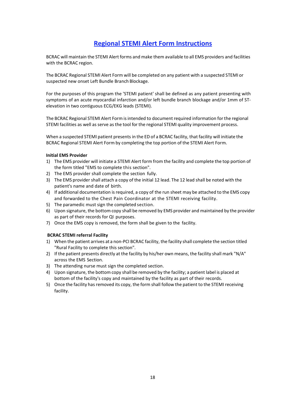### **Regional STEMI Alert Form Instructions**

BCRAC will maintain the STEMI Alert forms and make them available to all EMS providers and facilities with the BCRAC region.

The BCRAC Regional STEMI Alert Form will be completed on any patient with a suspected STEMI or suspected new onset Left Bundle Branch Blockage.

For the purposes of this program the 'STEMI patient' shall be defined as any patient presenting with symptoms of an acute myocardial infarction and/or left bundle branch blockage and/or 1mm of STelevation in two contiguous ECG/EKG leads (STEMI).

The BCRAC Regional STEMI Alert Form is intended to document required information for the regional STEMI facilities as well as serve as the tool for the regional STEMI quality improvement process.

When a suspected STEMI patient presents in the ED of a BCRAC facility, that facility will initiate the BCRAC Regional STEMI Alert Form by completing the top portion of the STEMI Alert Form.

#### **Initial EMS Provider**

- 1) The EMS provider will initiate a STEMI Alert form from the facility and complete the top portion of the form titled "EMS to complete this section".
- 2) The EMS provider shall complete the section fully.
- 3) The EMS provider shall attach a copy of the initial 12 lead. The 12 lead shall be noted with the patient's name and date of birth.
- 4) If additional documentation is required, a copy of the run sheet may be attached to the EMS copy and forwarded to the Chest Pain Coordinator at the STEMI receiving facility.
- 5) The paramedic must sign the completed section.
- 6) Upon signature, the bottom copy shall be removed by EMS provider and maintained by the provider as part of their records for QI purposes.
- 7) Once the EMS copy is removed, the form shall be given to the facility.

#### **BCRAC STEMI referral Facility**

- 1) When the patient arrives at a non-PCI BCRAC facility, the facility shall complete the section titled "Rural Facility to complete this section".
- 2) If the patient presents directly at the facility by his/her own means, the facility shall mark "N/A" across the EMS Section.
- 3) The attending nurse must sign the completed section.
- 4) Upon signature, the bottom copy shall be removed by the facility; a patient label is placed at bottom of the facility's copy and maintained by the facility as part of their records.
- 5) Once the facility has removed its copy, the form shall follow the patient to the STEMI receiving facility.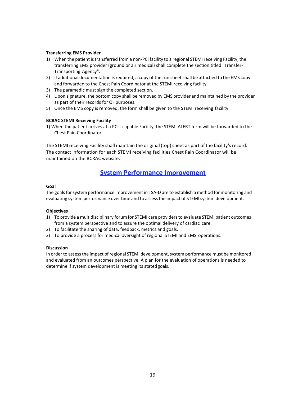#### **Transferring EMS Provider**

- 1) When the patient is transferred from a non-PCI facility to a regional STEMI receiving Facility, the transferring EMS provider (ground or air medical) shall complete the section titled "Transfer-Transporting Agency".
- 2) If additional documentation is required, a copy of the run sheet shall be attached to the EMS copy and forwarded to the Chest Pain Coordinator at the STEMI receiving facility.
- 3) The paramedic must sign the completed section.
- 4) Upon signature, the bottom copy shall be removed by EMS provider and maintained by the provider as part of their records for QI purposes.
- 5) Once the EMS copy is removed, the form shall be given to the STEMI receiving facility.

#### **BCRAC STEMI Receiving Facility**

1) When the patient arrives at a PCI - capable Facility, the STEMI ALERT form will be forwarded to the Chest Pain Coordinator.

The STEMI receiving Facility shall maintain the original (top) sheet as part of the facility's record. The contact information for each STEMI receiving facilities Chest Pain Coordinator will be maintained on the BCRAC website.

#### **System Performance Improvement**

#### **Goal**

The goals for system performance improvement in TSA-D are to establish a method for monitoring and evaluating system performance over time and to assess the impact of STEMI system development.

#### **Objectives**

- 1) To provide a multidisciplinary forum for STEMI care providers to evaluate STEMI patient outcomes from a system perspective and to assure the optimal delivery of cardiac care.
- 2) To facilitate the sharing of data, feedback, metrics and goals.
- 3) To provide a process for medical oversight of regional STEMI and EMS operations.

#### **Discussion**

In order to assess the impact of regional STEMI development, system performance must be monitored and evaluated from an outcomes perspective. A plan for the evaluation of operations is needed to determine if system development is meeting its stated goals.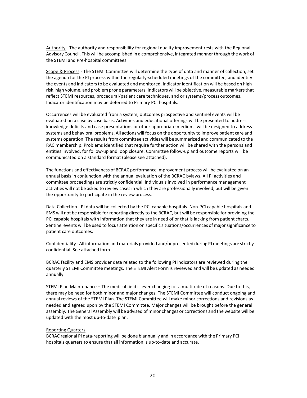Authority - The authority and responsibility for regional quality improvement rests with the Regional Advisory Council. This will be accomplished in a comprehensive, integrated manner through the work of the STEMI and Pre-hospital committees.

Scope & Process - The STEMI Committee will determine the type of data and manner of collection, set the agenda for the PI process within the regularly-scheduled meetings of the committee, and identify the events and indicators to be evaluated and monitored. Indicator identification will be based on high risk, high volume, and problem prone parameters. Indicators will be objective, measurable markers that reflect STEMI resources, procedural/patient care techniques, and or systems/process outcomes. Indicator identification may be deferred to Primary PCI hospitals.

Occurrences will be evaluated from a system, outcomes prospective and sentinel events will be evaluated on a case by case basis. Activities and educational offerings will be presented to address knowledge deficits and case presentations or other appropriate mediums will be designed to address systems and behavioral problems. All actions will focus on the opportunity to improve patient care and systems operation. The results from committee activities will be summarized and communicated to the RAC membership. Problems identified that require further action will be shared with the persons and entities involved, for follow-up and loop closure. Committee follow-up and outcome reports will be communicated on a standard format (please see attached).

The functions and effectiveness of BCRAC performance improvement process will be evaluated on an annual basis in conjunction with the annual evaluation of the BCRAC bylaws. All PI activities and committee proceedings are strictly confidential. Individuals involved in performance management activities will not be asked to review cases in which they are professionally involved, but will be given the opportunity to participate in the review process.

Data Collection - PI data will be collected by the PCI capable hospitals. Non-PCI capable hospitals and EMS will not be responsible for reporting directly to the BCRAC, but will be responsible for providing the PCI capable hospitals with information that they are in need of or that is lacking from patient charts. Sentinel events will be used to focus attention on specific situations/occurrences of major significance to patient care outcomes.

Confidentiality - All information and materials provided and/or presented during PI meetings are strictly confidential. See attached form.

BCRAC facility and EMS provider data related to the following PI indicators are reviewed during the quarterly ST EMI Committee meetings. The STEMI Alert Form is reviewed and will be updated as needed annually.

STEMI Plan Maintenance – The medical field is ever changing for a multitude of reasons. Due to this, there may be need for both minor and major changes. The STEMI Committee will conduct ongoing and annual reviews of the STEMI Plan. The STEMI Committee will make minor corrections and revisions as needed and agreed upon by the STEMI Committee. Major changes will be brought before the general assembly. The General Assembly will be advised of minor changes or corrections and the website will be updated with the most up-to-date plan.

#### Reporting Quarters

BCRAC regional PI data-reporting will be done biannually and in accordance with the Primary PCI hospitals quarters to ensure that all information is up-to-date and accurate.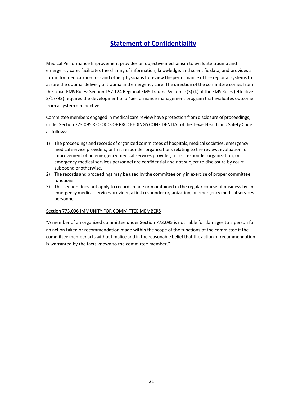## **Statement of Confidentiality**

Medical Performance Improvement provides an objective mechanism to evaluate trauma and emergency care, facilitates the sharing of information, knowledge, and scientific data, and provides a forum for medical directors and other physicians to review the performance of the regional systems to assure the optimal delivery of trauma and emergency care. The direction of the committee comes from the Texas EMS Rules: Section 157.124 Regional EMS Trauma Systems: (3) (k) of the EMS Rules (effective 2/17/92) requires the development of a "performance management program that evaluates outcome from a system perspective"

Committee members engaged in medical care review have protection from disclosure of proceedings, under Section 773.095 RECORDS OF PROCEEDINGS CONFIDENTIAL of the Texas Health and Safety Code as follows:

- 1) The proceedings and records of organized committees of hospitals, medical societies, emergency medical service providers, or first responder organizations relating to the review, evaluation, or improvement of an emergency medical services provider, a first responder organization, or emergency medical services personnel are confidential and not subject to disclosure by court subpoena or otherwise.
- 2) The records and proceedings may be used by the committee only in exercise of proper committee functions.
- 3) This section does not apply to records made or maintained in the regular course of business by an emergency medical services provider, a first responder organization, or emergency medical services personnel.

#### Section 773.096 IMMUNITY FOR COMMITTEE MEMBERS

"A member of an organized committee under Section 773.095 is not liable for damages to a person for an action taken or recommendation made within the scope of the functions of the committee if the committee member acts without malice and in the reasonable belief that the action or recommendation is warranted by the facts known to the committee member."